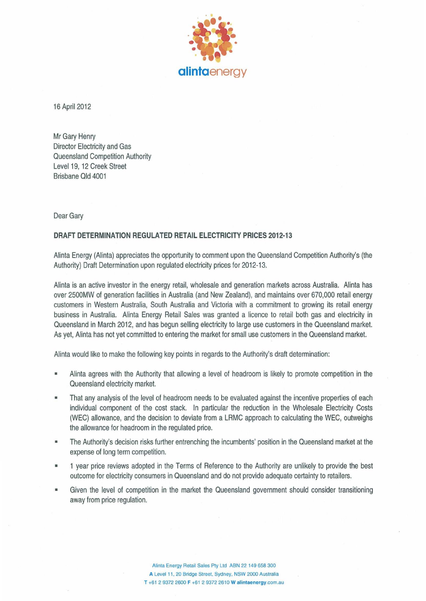

16 April 2012

Mr Gary Henry Director Electricity and Gas Queensland Competition Authority Level 19, 12 Creek Street Brisbane Qld 4001

Dear Gary

## **DRAFT DETERMINATION REGULATED RETAIL ELECTRICITY PRICES 2012-13**

Alinta Energy (Alinta) appreciates the opportunity to comment upon the Queensland Competition Authority's (the Authority) Draft Determination upon regulated electricity prices for 2012-13.

Alinta is an active investor in the energy retail, wholesale and generation markets across Australia. Alinta has over 2500MW of generation facilities in Australia (and New Zealand), and maintains over 670,000 retail energy customers in Western Australia, South Australia and Victoria with a commitment to growing its retail energy business in Australia. Alinta Energy Retail Sales was granted a licence to retail both gas and electricity in Queensland in March 2012, and has begun selling electricity to large use customers in the Queensland market. As yet, Alinta has not yet committed to entering the market for small use customers in the Queensland market.

Alinta would like to make the following key points in regards to the Authority's draft determination:

- Alinta agrees with the Authority that allowing a level of headroom is likely to promote competition in the Queensland electricity market.
- **That** any analysis of the level of headroom needs to be evaluated against the incentive properties of each individual component of the cost stack. In particular the reduction in the Wholesale Electricity Costs (WEC) allowance, and the decision to deviate from a LRMC approach to calculating the WEC, outweighs the allowance for headroom in the regulated price.
- The Authority's decision risks further entrenching the incumbents' position in the Queensland market at the expense of long term competition.
- 1 year price reviews adopted in the Terms of Reference to the Authority are unlikely to provide the best outcome for electricity consumers in Queensland and do not provide adequate certainty to retailers.
- Given the level of competition in the market the Queensland government should consider transitioning away from price regulation.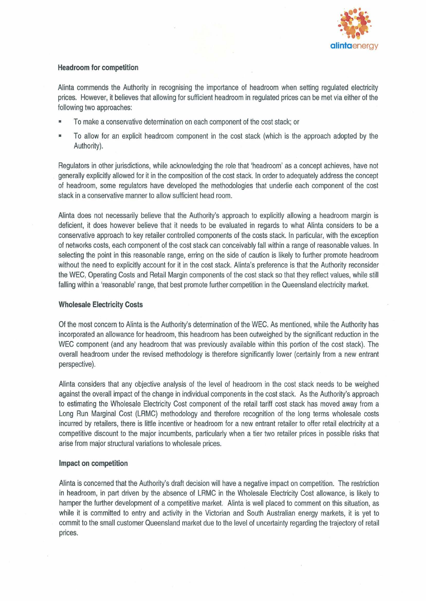

# Headroom for competition

Alinta commends the Authority in recognising the importance of headroom when setting regulated electricity prices. However, it believes that allowing for sufficient headroom in regulated prices can be met via either of the following two approaches:

- To make a conservative determination on each component of the cost stack; or
- To allow for an explicit headroom component in the cost stack (which is the approach adopted by the Authority).

Regulators in other jurisdictions, while acknowledging the role that 'headroom' as a concept achieves, have not generally explicitly allowed for it in the composition of the cost stack. In order to adequately address the concept of headroom, some regulators have developed the methodologies that underlie each component of the cost stack in a conservative manner to allow sufficient head room.

Alinta does not necessarily believe that the Authority's approach to explicitly allowing a headroom margin is deficient, it does however believe that it needs to be evaluated in regards to what Alinta considers to be a conservative approach to key retailer controlled components of the costs stack. In particular, with the exception of networks costs, each component of the cost stack can conceivably fall within a range of reasonable values. In selecting the point in this reasonable range, erring on the side of caution is likely to further promote headroom without the need to explicitly account for it in the cost stack. Alinta's preference is that the Authority reconsider the WEC, Operating Costs and Retail Margin components of the cost stack so that they reflect values, while still falling within a 'reasonable' range, that best promote further competition in the Queensland electricity market.

# Wholesale Electricity Costs

Of the most concern to Alinta is the Authority's determination of the WEC. As mentioned, while the Authority has incorporated an allowance for headroom, this headroom has been outweighed by the significant reduction in the WEC component (and any headroom that was previously available within this portion of the cost stack). The overall headroom under the revised methodology is therefore significantly lower (certainly from a new entrant perspective).

Alinta considers that any objective analysis of the level of headroom in the cost stack needs to be weighed against the overall impact of the change in individual components in the cost stack. As the Authority's approach to estimating the Wholesale Electricity Cost component of the retail tariff cost stack has moved away from a Long Run Marginal Cost (LRMC) methodology and therefore recognition of the long terms wholesale costs incurred by retailers, there is little incentive or headroom for a new entrant retailer to offer retail electricity at a competitive discount to the major incumbents, particularly when a tier two retailer prices in possible risks that arise from major structural variations to wholesale prices.

## Impact on competition

Alinta is concerned that the Authority's draft decision will have a negative impact on competition. The restriction in headroom, in part driven by the absence of LRMC in the Wholesale Electricity Cost allowance, is likely to hamper the further development of a competitive market. Alinta is well placed to comment on this situation, as while it is committed to entry and activity in the Victorian and South Australian energy markets, it is yet to commit to the small customer Queensland market due to the level of uncertainty regarding the trajectory of retail prices.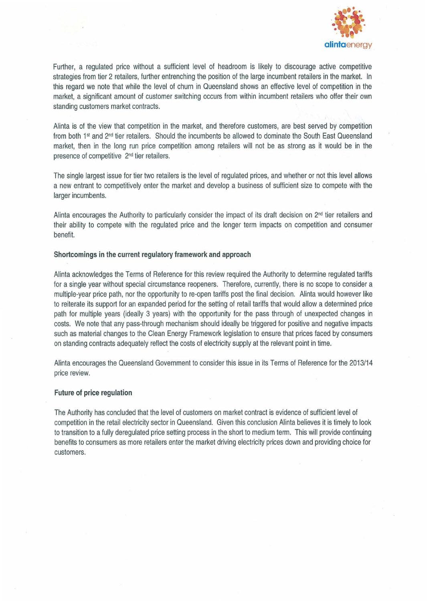

Further, a regulated price without a sufficient level of headroom is likely to discourage active competitive strategies from tier 2 retailers, further entrenching the position of the large incumbent retailers in the market. In this regard we note that while the level of churn in Queensland shows an effective level of competition in the rnarket, a significant amount of customer switching occurs from within incumbent retailers who offer their own standing customers market contracts,

Alinta is of the view that competition in the market, and therefore customers, are best served by competition from both 1<sup>st</sup> and 2<sup>nd</sup> tier retailers. Should the incumbents be allowed to dominate the South East Queensland market, then in the long run price competition among retailers will not be as strong as it would be in the presence of competitive 2nd tier retailers,

The single largest issue for tier two retailers is the level of regulated prices, and whether or not this level allows a new entrant to competitively enter the market and develop a business of sufficient size to compete with the larger incumbents,

Alinta encourages the Authority to particularly consider the impact of its draft decision on  $2<sup>nd</sup>$  tier retailers and their ability to compete with the regulated price and the longer term impacts on competition and consumer benefit.

#### **Shortcomings in the current regulatory framework and approach**

Alinta acknowledges the Terms of Reference for this review required the Authority to determine regulated tariffs for a single year without special circumstance reopeners, Therefore, currently, there is no scope to consider a multiple-year price path, nor the opportunity to re-open tariffs post the final decision, Alinta would however like to reiterate its support for an expanded period for the setting of retail tariffs that would allow a determined price path for multiple years (ideally 3 years) with the opportunity for the pass through of unexpected changes **in**  costs, We note that any pass-through mechanism should ideally be triggered for positive and negative impacts such as material changes to the Clean Energy Framework legislation to ensure that prices faced by consumers on standing contracts adequately reflect the costs of electricity supply at the relevant point in time,

Alinta encourages the Queensland Government to consider this issue in its Terms of Reference for the 2013/14 price review,

#### **Future of price regulation**

The Authority has concluded that the level of customers on market contract is evidence of sufficient level of competition in the retail electricity sector in Queensland, Given this conclusion Alinta believes it is timely to look to transition to a fully deregulated price setting process in the short to medium term, This will provide continuing benefits to consumers as more retailers enter the market driving electricity prices down and providing choice for customers,